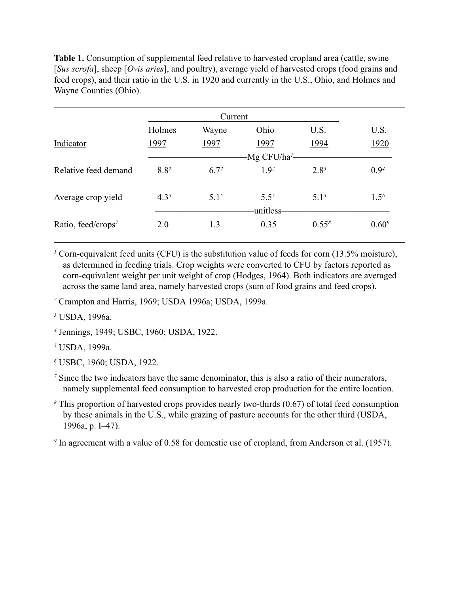Table 1. Consumption of supplemental feed relative to harvested cropland area (cattle, swine [*Sus scrofa*], sheep [*Ovis aries*], and poultry), average yield of harvested crops (food grains and feed crops), and their ratio in the U.S. in 1920 and currently in the U.S., Ohio, and Holmes and Wayne Counties (Ohio).

|                                | Holmes    | Wayne     | Ohio                   | U.S.       | U.S.       |
|--------------------------------|-----------|-----------|------------------------|------------|------------|
| Indicator                      | 1997      | 1997      | 1997                   | 1994       | 1920       |
|                                |           |           |                        |            |            |
| Relative feed demand           | $8.8^{2}$ | $6.7^{2}$ | 1.9 <sup>2</sup>       | $2.8^{3}$  | $0.9^{4}$  |
| Average crop yield             | $4.3^{5}$ | $5.1^{5}$ | $5.5^{5}$<br>unitless- | $5.1^3$    | $1.5^{6}$  |
| Ratio, feed/crops <sup>7</sup> | 2.0       | 1.3       | 0.35                   | $0.55^{8}$ | $0.60^{9}$ |

<sup>1</sup> Corn-equivalent feed units (CFU) is the substitution value of feeds for corn (13.5% moisture), as determined in feeding trials. Crop weights were converted to CFU by factors reported as corn-equivalent weight per unit weight of crop (Hodges, 1964). Both indicators are averaged across the same land area, namely harvested crops (sum of food grains and feed crops).

*2* Crampton and Harris, 1969; USDA 1996a; USDA, 1999a.

*3* USDA, 1996a.

*4* Jennings, 1949; USBC, 1960; USDA, 1922.

*5* USDA, 1999a.

- *6* USBC, 1960; USDA, 1922.
- <sup>7</sup> Since the two indicators have the same denominator, this is also a ratio of their numerators, namely supplemental feed consumption to harvested crop production for the entire location.
- *8* This proportion of harvested crops provides nearly two-thirds (0.67) of total feed consumption by these animals in the U.S., while grazing of pasture accounts for the other third (USDA, 1996a, p. I–47).

<sup>9</sup> In agreement with a value of 0.58 for domestic use of cropland, from Anderson et al. (1957).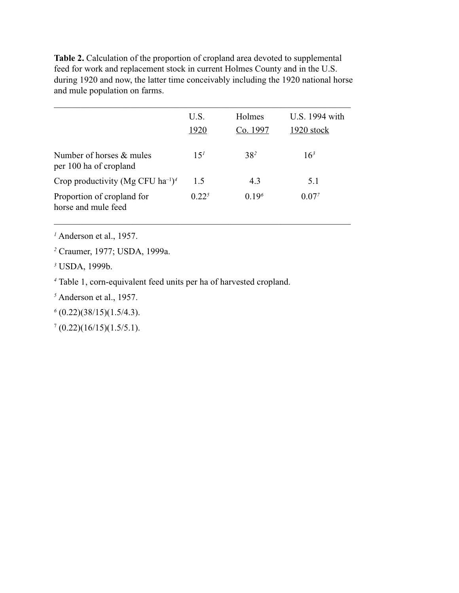**Table 2.** Calculation of the proportion of cropland area devoted to supplemental feed for work and replacement stock in current Holmes County and in the U.S. during 1920 and now, the latter time conceivably including the 1920 national horse and mule population on farms.

|                                                           | U.S.            | Holmes            | U.S. 1994 with  |
|-----------------------------------------------------------|-----------------|-------------------|-----------------|
|                                                           | 1920            | Co. 1997          | 1920 stock      |
| Number of horses $&$ mules<br>per 100 ha of cropland      | 15 <sup>1</sup> | $38^{2}$          | 16 <sup>3</sup> |
| Crop productivity (Mg CFU ha <sup>-1</sup> ) <sup>4</sup> | 1.5             | 4.3               | 5.1             |
| Proportion of cropland for<br>horse and mule feed         | $0.22^{5}$      | 0.19 <sup>6</sup> | $0.07^{7}$      |

\_\_\_\_\_\_\_\_\_\_\_\_\_\_\_\_\_\_\_\_\_\_\_\_\_\_\_\_\_\_\_\_\_\_\_\_\_\_\_\_\_\_\_\_\_\_\_\_\_\_\_\_\_\_\_\_\_\_\_\_\_\_\_\_\_\_

*1* Anderson et al., 1957.

*2* Craumer, 1977; USDA, 1999a.

*3* USDA, 1999b.

*4* Table 1, corn-equivalent feed units per ha of harvested cropland.

*5* Anderson et al., 1957.

*6* (0.22)(38/15)(1.5/4.3).

 $7(0.22)(16/15)(1.5/5.1).$